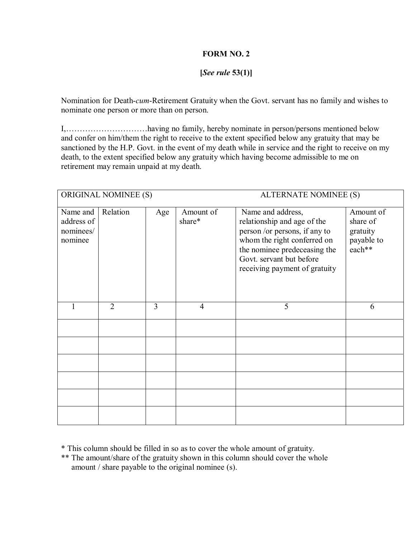## **FORM NO. 2**

## **[***See rule* **53(1)]**

Nomination for Death-*cum*-Retirement Gratuity when the Govt. servant has no family and wishes to nominate one person or more than on person.

I,ÖÖÖÖÖÖÖÖÖÖhaving no family, hereby nominate in person/persons mentioned below and confer on him/them the right to receive to the extent specified below any gratuity that may be sanctioned by the H.P. Govt. in the event of my death while in service and the right to receive on my death, to the extent specified below any gratuity which having become admissible to me on retirement may remain unpaid at my death.

|                                                | <b>ORIGINAL NOMINEE (S)</b> |     | ALTERNATE NOMINEE (S) |                                                                                                                                                                                                               |                                                           |  |  |  |  |  |
|------------------------------------------------|-----------------------------|-----|-----------------------|---------------------------------------------------------------------------------------------------------------------------------------------------------------------------------------------------------------|-----------------------------------------------------------|--|--|--|--|--|
| Name and<br>address of<br>nominees/<br>nominee | Relation                    | Age | Amount of<br>share*   | Name and address,<br>relationship and age of the<br>person /or persons, if any to<br>whom the right conferred on<br>the nominee predeceasing the<br>Govt. servant but before<br>receiving payment of gratuity | Amount of<br>share of<br>gratuity<br>payable to<br>each** |  |  |  |  |  |
|                                                | $\overline{2}$              | 3   | $\overline{4}$        | 5                                                                                                                                                                                                             | 6                                                         |  |  |  |  |  |
|                                                |                             |     |                       |                                                                                                                                                                                                               |                                                           |  |  |  |  |  |
|                                                |                             |     |                       |                                                                                                                                                                                                               |                                                           |  |  |  |  |  |
|                                                |                             |     |                       |                                                                                                                                                                                                               |                                                           |  |  |  |  |  |
|                                                |                             |     |                       |                                                                                                                                                                                                               |                                                           |  |  |  |  |  |
|                                                |                             |     |                       |                                                                                                                                                                                                               |                                                           |  |  |  |  |  |
|                                                |                             |     |                       |                                                                                                                                                                                                               |                                                           |  |  |  |  |  |

\* This column should be filled in so as to cover the whole amount of gratuity.

\*\* The amount/share of the gratuity shown in this column should cover the whole amount / share payable to the original nominee (s).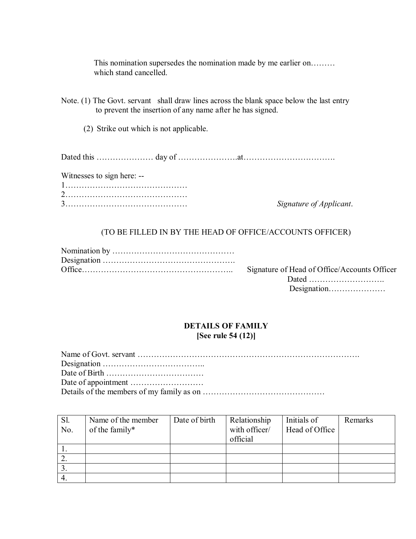This nomination supersedes the nomination made by me earlier on......... which stand cancelled.

Note. (1) The Govt. servant shall draw lines across the blank space below the last entry to prevent the insertion of any name after he has signed.

(2) Strike out which is not applicable.

Dated this ÖÖÖÖÖÖÖ day of ÖÖÖÖÖÖÖ.atÖÖÖÖÖÖÖÖÖÖÖ.

Witnesses to sign here: --

Signature of Applicant.

## (TO BE FILLED IN BY THE HEAD OF OFFICE/ACCOUNTS OFFICER)

| Signature of Head of Office/Accounts Officer |
|----------------------------------------------|
| $\Gamma_{\alpha}$                            |

Dated ................................ Designation.......................

## **DETAILS OF FAMILY [See rule 54 (12)]**

| Sl.<br>No. | Name of the member<br>of the family* | Date of birth | Relationship<br>with officer/<br>official | Initials of<br>Head of Office | Remarks |
|------------|--------------------------------------|---------------|-------------------------------------------|-------------------------------|---------|
|            |                                      |               |                                           |                               |         |
|            |                                      |               |                                           |                               |         |
|            |                                      |               |                                           |                               |         |
| 4.         |                                      |               |                                           |                               |         |